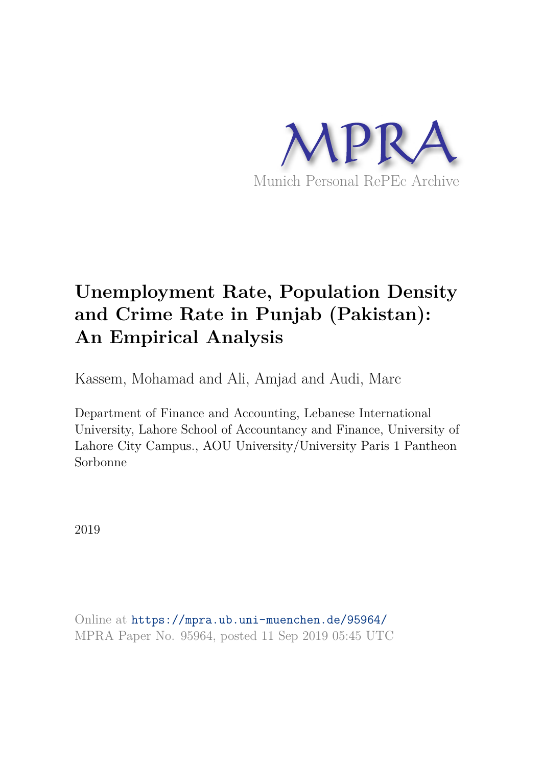

# **Unemployment Rate, Population Density and Crime Rate in Punjab (Pakistan): An Empirical Analysis**

Kassem, Mohamad and Ali, Amjad and Audi, Marc

Department of Finance and Accounting, Lebanese International University, Lahore School of Accountancy and Finance, University of Lahore City Campus., AOU University/University Paris 1 Pantheon Sorbonne

2019

Online at https://mpra.ub.uni-muenchen.de/95964/ MPRA Paper No. 95964, posted 11 Sep 2019 05:45 UTC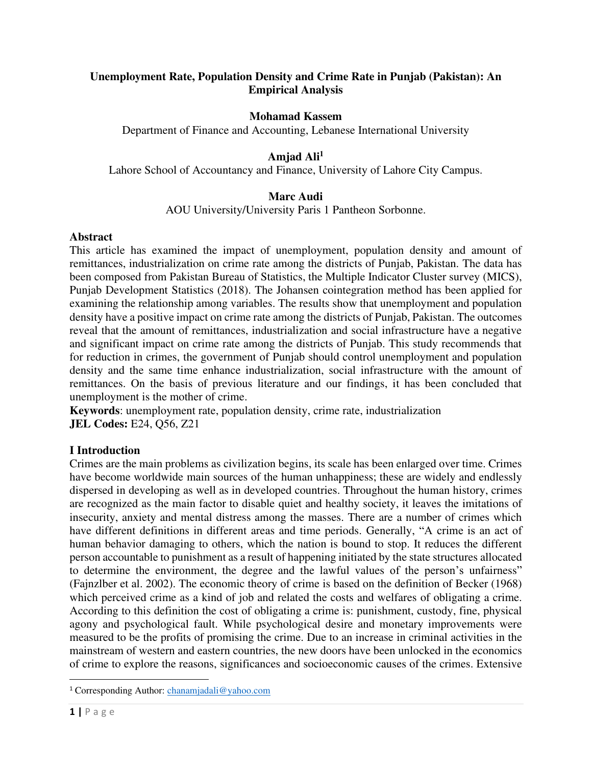# **Unemployment Rate, Population Density and Crime Rate in Punjab (Pakistan): An Empirical Analysis**

## **Mohamad Kassem**

Department of Finance and Accounting, Lebanese International University

## **Amjad Ali<sup>1</sup>**

Lahore School of Accountancy and Finance, University of Lahore City Campus.

## **Marc Audi**

AOU University/University Paris 1 Pantheon Sorbonne.

#### **Abstract**

This article has examined the impact of unemployment, population density and amount of remittances, industrialization on crime rate among the districts of Punjab, Pakistan. The data has been composed from Pakistan Bureau of Statistics, the Multiple Indicator Cluster survey (MICS), Punjab Development Statistics (2018). The Johansen cointegration method has been applied for examining the relationship among variables. The results show that unemployment and population density have a positive impact on crime rate among the districts of Punjab, Pakistan. The outcomes reveal that the amount of remittances, industrialization and social infrastructure have a negative and significant impact on crime rate among the districts of Punjab. This study recommends that for reduction in crimes, the government of Punjab should control unemployment and population density and the same time enhance industrialization, social infrastructure with the amount of remittances. On the basis of previous literature and our findings, it has been concluded that unemployment is the mother of crime.

**Keywords**: unemployment rate, population density, crime rate, industrialization **JEL Codes:** E24, Q56, Z21

### **I Introduction**

Crimes are the main problems as civilization begins, its scale has been enlarged over time. Crimes have become worldwide main sources of the human unhappiness; these are widely and endlessly dispersed in developing as well as in developed countries. Throughout the human history, crimes are recognized as the main factor to disable quiet and healthy society, it leaves the imitations of insecurity, anxiety and mental distress among the masses. There are a number of crimes which have different definitions in different areas and time periods. Generally, "A crime is an act of human behavior damaging to others, which the nation is bound to stop. It reduces the different person accountable to punishment as a result of happening initiated by the state structures allocated to determine the environment, the degree and the lawful values of the person's unfairness" (Fajnzlber et al. 2002). The economic theory of crime is based on the definition of Becker (1968) which perceived crime as a kind of job and related the costs and welfares of obligating a crime. According to this definition the cost of obligating a crime is: punishment, custody, fine, physical agony and psychological fault. While psychological desire and monetary improvements were measured to be the profits of promising the crime. Due to an increase in criminal activities in the mainstream of western and eastern countries, the new doors have been unlocked in the economics of crime to explore the reasons, significances and socioeconomic causes of the crimes. Extensive

<sup>&</sup>lt;sup>1</sup> Corresponding Author: *chanamjadali@yahoo.com*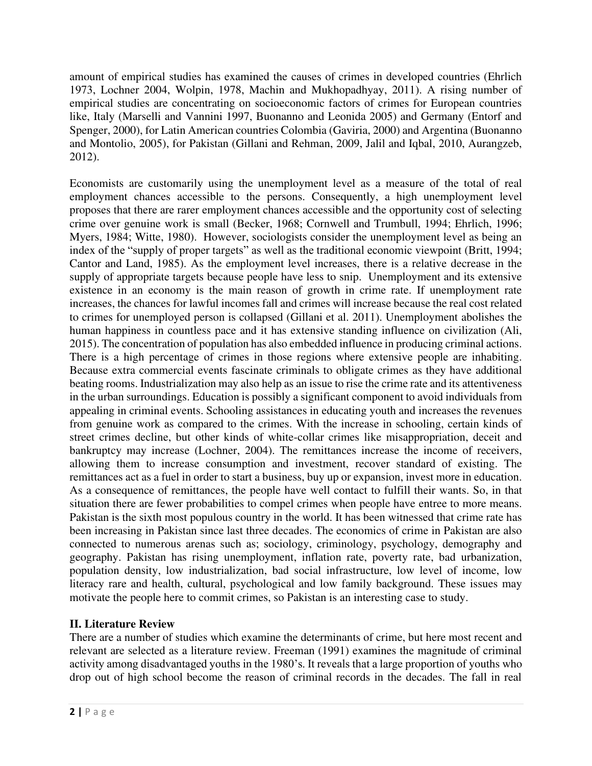amount of empirical studies has examined the causes of crimes in developed countries (Ehrlich 1973, Lochner 2004, Wolpin, 1978, Machin and Mukhopadhyay, 2011). A rising number of empirical studies are concentrating on socioeconomic factors of crimes for European countries like, Italy (Marselli and Vannini 1997, Buonanno and Leonida 2005) and Germany (Entorf and Spenger, 2000), for Latin American countries Colombia (Gaviria, 2000) and Argentina (Buonanno and Montolio, 2005), for Pakistan (Gillani and Rehman, 2009, Jalil and Iqbal, 2010, Aurangzeb, 2012).

Economists are customarily using the unemployment level as a measure of the total of real employment chances accessible to the persons. Consequently, a high unemployment level proposes that there are rarer employment chances accessible and the opportunity cost of selecting crime over genuine work is small (Becker, 1968; Cornwell and Trumbull, 1994; Ehrlich, 1996; Myers, 1984; Witte, 1980). However, sociologists consider the unemployment level as being an index of the "supply of proper targets" as well as the traditional economic viewpoint (Britt, 1994; Cantor and Land, 1985). As the employment level increases, there is a relative decrease in the supply of appropriate targets because people have less to snip. Unemployment and its extensive existence in an economy is the main reason of growth in crime rate. If unemployment rate increases, the chances for lawful incomes fall and crimes will increase because the real cost related to crimes for unemployed person is collapsed (Gillani et al. 2011). Unemployment abolishes the human happiness in countless pace and it has extensive standing influence on civilization (Ali, 2015). The concentration of population has also embedded influence in producing criminal actions. There is a high percentage of crimes in those regions where extensive people are inhabiting. Because extra commercial events fascinate criminals to obligate crimes as they have additional beating rooms. Industrialization may also help as an issue to rise the crime rate and its attentiveness in the urban surroundings. Education is possibly a significant component to avoid individuals from appealing in criminal events. Schooling assistances in educating youth and increases the revenues from genuine work as compared to the crimes. With the increase in schooling, certain kinds of street crimes decline, but other kinds of white-collar crimes like misappropriation, deceit and bankruptcy may increase (Lochner, 2004). The remittances increase the income of receivers, allowing them to increase consumption and investment, recover standard of existing. The remittances act as a fuel in order to start a business, buy up or expansion, invest more in education. As a consequence of remittances, the people have well contact to fulfill their wants. So, in that situation there are fewer probabilities to compel crimes when people have entree to more means. Pakistan is the sixth most populous country in the world. It has been witnessed that crime rate has been increasing in Pakistan since last three decades. The economics of crime in Pakistan are also connected to numerous arenas such as; sociology, criminology, psychology, demography and geography. Pakistan has rising unemployment, inflation rate, poverty rate, bad urbanization, population density, low industrialization, bad social infrastructure, low level of income, low literacy rare and health, cultural, psychological and low family background. These issues may motivate the people here to commit crimes, so Pakistan is an interesting case to study.

# **II. Literature Review**

There are a number of studies which examine the determinants of crime, but here most recent and relevant are selected as a literature review. Freeman (1991) examines the magnitude of criminal activity among disadvantaged youths in the 1980's. It reveals that a large proportion of youths who drop out of high school become the reason of criminal records in the decades. The fall in real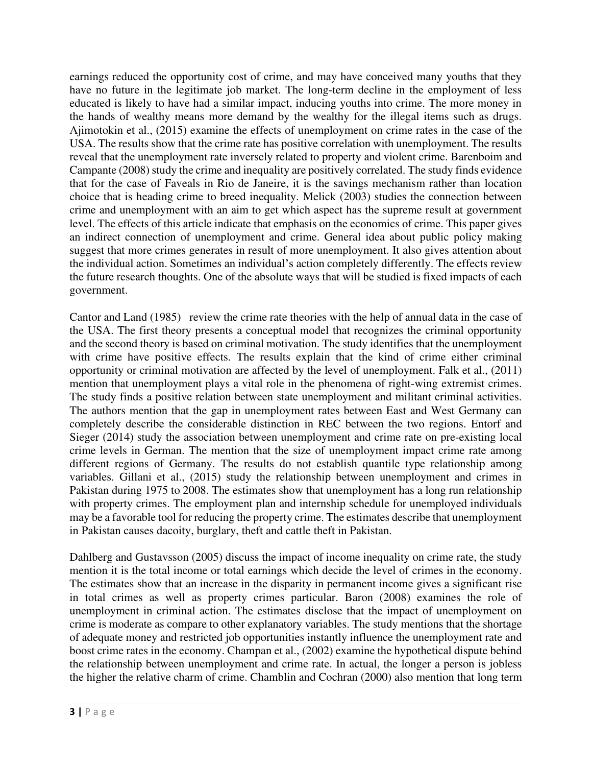earnings reduced the opportunity cost of crime, and may have conceived many youths that they have no future in the legitimate job market. The long-term decline in the employment of less educated is likely to have had a similar impact, inducing youths into crime. The more money in the hands of wealthy means more demand by the wealthy for the illegal items such as drugs. Ajimotokin et al., (2015) examine the effects of unemployment on crime rates in the case of the USA. The results show that the crime rate has positive correlation with unemployment. The results reveal that the unemployment rate inversely related to property and violent crime. Barenboim and Campante (2008) study the crime and inequality are positively correlated. The study finds evidence that for the case of Faveals in Rio de Janeire, it is the savings mechanism rather than location choice that is heading crime to breed inequality. Melick (2003) studies the connection between crime and unemployment with an aim to get which aspect has the supreme result at government level. The effects of this article indicate that emphasis on the economics of crime. This paper gives an indirect connection of unemployment and crime. General idea about public policy making suggest that more crimes generates in result of more unemployment. It also gives attention about the individual action. Sometimes an individual's action completely differently. The effects review the future research thoughts. One of the absolute ways that will be studied is fixed impacts of each government.

Cantor and Land (1985) review the crime rate theories with the help of annual data in the case of the USA. The first theory presents a conceptual model that recognizes the criminal opportunity and the second theory is based on criminal motivation. The study identifies that the unemployment with crime have positive effects. The results explain that the kind of crime either criminal opportunity or criminal motivation are affected by the level of unemployment. Falk et al., (2011) mention that unemployment plays a vital role in the phenomena of right-wing extremist crimes. The study finds a positive relation between state unemployment and militant criminal activities. The authors mention that the gap in unemployment rates between East and West Germany can completely describe the considerable distinction in REC between the two regions. Entorf and Sieger (2014) study the association between unemployment and crime rate on pre-existing local crime levels in German. The mention that the size of unemployment impact crime rate among different regions of Germany. The results do not establish quantile type relationship among variables. Gillani et al., (2015) study the relationship between unemployment and crimes in Pakistan during 1975 to 2008. The estimates show that unemployment has a long run relationship with property crimes. The employment plan and internship schedule for unemployed individuals may be a favorable tool for reducing the property crime. The estimates describe that unemployment in Pakistan causes dacoity, burglary, theft and cattle theft in Pakistan.

Dahlberg and Gustavsson (2005) discuss the impact of income inequality on crime rate, the study mention it is the total income or total earnings which decide the level of crimes in the economy. The estimates show that an increase in the disparity in permanent income gives a significant rise in total crimes as well as property crimes particular. Baron (2008) examines the role of unemployment in criminal action. The estimates disclose that the impact of unemployment on crime is moderate as compare to other explanatory variables. The study mentions that the shortage of adequate money and restricted job opportunities instantly influence the unemployment rate and boost crime rates in the economy. Champan et al., (2002) examine the hypothetical dispute behind the relationship between unemployment and crime rate. In actual, the longer a person is jobless the higher the relative charm of crime. Chamblin and Cochran (2000) also mention that long term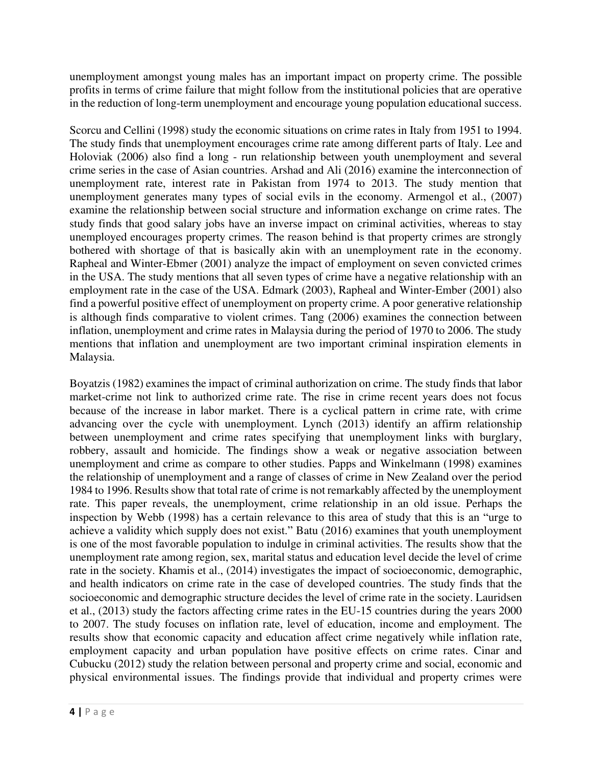unemployment amongst young males has an important impact on property crime. The possible profits in terms of crime failure that might follow from the institutional policies that are operative in the reduction of long-term unemployment and encourage young population educational success.

Scorcu and Cellini (1998) study the economic situations on crime rates in Italy from 1951 to 1994. The study finds that unemployment encourages crime rate among different parts of Italy. Lee and Holoviak (2006) also find a long - run relationship between youth unemployment and several crime series in the case of Asian countries. Arshad and Ali (2016) examine the interconnection of unemployment rate, interest rate in Pakistan from 1974 to 2013. The study mention that unemployment generates many types of social evils in the economy. Armengol et al., (2007) examine the relationship between social structure and information exchange on crime rates. The study finds that good salary jobs have an inverse impact on criminal activities, whereas to stay unemployed encourages property crimes. The reason behind is that property crimes are strongly bothered with shortage of that is basically akin with an unemployment rate in the economy. Rapheal and Winter-Ebmer (2001) analyze the impact of employment on seven convicted crimes in the USA. The study mentions that all seven types of crime have a negative relationship with an employment rate in the case of the USA. Edmark (2003), Rapheal and Winter-Ember (2001) also find a powerful positive effect of unemployment on property crime. A poor generative relationship is although finds comparative to violent crimes. Tang (2006) examines the connection between inflation, unemployment and crime rates in Malaysia during the period of 1970 to 2006. The study mentions that inflation and unemployment are two important criminal inspiration elements in Malaysia.

Boyatzis (1982) examines the impact of criminal authorization on crime. The study finds that labor market-crime not link to authorized crime rate. The rise in crime recent years does not focus because of the increase in labor market. There is a cyclical pattern in crime rate, with crime advancing over the cycle with unemployment. Lynch (2013) identify an affirm relationship between unemployment and crime rates specifying that unemployment links with burglary, robbery, assault and homicide. The findings show a weak or negative association between unemployment and crime as compare to other studies. Papps and Winkelmann (1998) examines the relationship of unemployment and a range of classes of crime in New Zealand over the period 1984 to 1996. Results show that total rate of crime is not remarkably affected by the unemployment rate. This paper reveals, the unemployment, crime relationship in an old issue. Perhaps the inspection by Webb (1998) has a certain relevance to this area of study that this is an "urge to achieve a validity which supply does not exist." Batu (2016) examines that youth unemployment is one of the most favorable population to indulge in criminal activities. The results show that the unemployment rate among region, sex, marital status and education level decide the level of crime rate in the society. Khamis et al., (2014) investigates the impact of socioeconomic, demographic, and health indicators on crime rate in the case of developed countries. The study finds that the socioeconomic and demographic structure decides the level of crime rate in the society. Lauridsen et al., (2013) study the factors affecting crime rates in the EU-15 countries during the years 2000 to 2007. The study focuses on inflation rate, level of education, income and employment. The results show that economic capacity and education affect crime negatively while inflation rate, employment capacity and urban population have positive effects on crime rates. Cinar and Cubucku (2012) study the relation between personal and property crime and social, economic and physical environmental issues. The findings provide that individual and property crimes were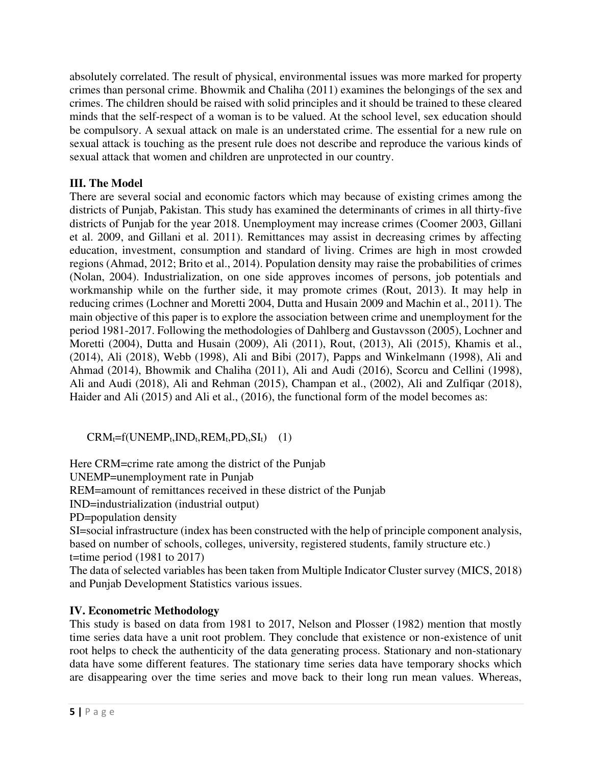absolutely correlated. The result of physical, environmental issues was more marked for property crimes than personal crime. Bhowmik and Chaliha (2011) examines the belongings of the sex and crimes. The children should be raised with solid principles and it should be trained to these cleared minds that the self-respect of a woman is to be valued. At the school level, sex education should be compulsory. A sexual attack on male is an understated crime. The essential for a new rule on sexual attack is touching as the present rule does not describe and reproduce the various kinds of sexual attack that women and children are unprotected in our country.

# **III. The Model**

There are several social and economic factors which may because of existing crimes among the districts of Punjab, Pakistan. This study has examined the determinants of crimes in all thirty-five districts of Punjab for the year 2018. Unemployment may increase crimes (Coomer 2003, Gillani et al. 2009, and Gillani et al. 2011). Remittances may assist in decreasing crimes by affecting education, investment, consumption and standard of living. Crimes are high in most crowded regions (Ahmad, 2012; Brito et al., 2014). Population density may raise the probabilities of crimes (Nolan, 2004). Industrialization, on one side approves incomes of persons, job potentials and workmanship while on the further side, it may promote crimes (Rout, 2013). It may help in reducing crimes (Lochner and Moretti 2004, Dutta and Husain 2009 and Machin et al., 2011). The main objective of this paper is to explore the association between crime and unemployment for the period 1981-2017. Following the methodologies of Dahlberg and Gustavsson (2005), Lochner and Moretti (2004), Dutta and Husain (2009), Ali (2011), Rout, (2013), Ali (2015), Khamis et al., (2014), Ali (2018), Webb (1998), Ali and Bibi (2017), Papps and Winkelmann (1998), Ali and Ahmad (2014), Bhowmik and Chaliha (2011), Ali and Audi (2016), Scorcu and Cellini (1998), Ali and Audi (2018), Ali and Rehman (2015), Champan et al., (2002), Ali and Zulfiqar (2018), Haider and Ali (2015) and Ali et al., (2016), the functional form of the model becomes as:

# $CRM_t=f(UNEMP_t, IND_t, REM_t, PD_t, SI_t)$  (1)

Here CRM=crime rate among the district of the Punjab

UNEMP=unemployment rate in Punjab

REM=amount of remittances received in these district of the Punjab

IND=industrialization (industrial output)

PD=population density

SI=social infrastructure (index has been constructed with the help of principle component analysis, based on number of schools, colleges, university, registered students, family structure etc.) t=time period  $(1981$  to  $2017)$ 

The data of selected variables has been taken from Multiple Indicator Cluster survey (MICS, 2018) and Punjab Development Statistics various issues.

# **IV. Econometric Methodology**

This study is based on data from 1981 to 2017, Nelson and Plosser (1982) mention that mostly time series data have a unit root problem. They conclude that existence or non-existence of unit root helps to check the authenticity of the data generating process. Stationary and non-stationary data have some different features. The stationary time series data have temporary shocks which are disappearing over the time series and move back to their long run mean values. Whereas,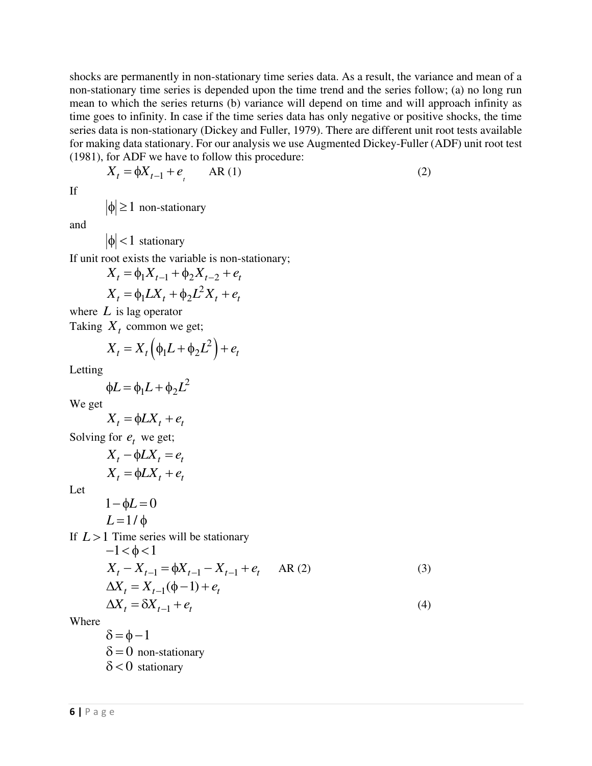shocks are permanently in non-stationary time series data. As a result, the variance and mean of a non-stationary time series is depended upon the time trend and the series follow; (a) no long run mean to which the series returns (b) variance will depend on time and will approach infinity as time goes to infinity. In case if the time series data has only negative or positive shocks, the time series data is non-stationary (Dickey and Fuller, 1979). There are different unit root tests available for making data stationary. For our analysis we use Augmented Dickey-Fuller (ADF) unit root test (1981), for ADF we have to follow this procedure:

$$
X_t = \phi X_{t-1} + e_t \qquad \text{AR (1)}
$$
 (2)

If

 $|\phi| \ge 1$  non-stationary

and

 $|\phi|$  < 1 stationary

If unit root exists the variable is non-stationary;

$$
X_{t} = \phi_{1} X_{t-1} + \phi_{2} X_{t-2} + e_{t}
$$

$$
X_{t} = \phi_{1} L X_{t} + \phi_{2} L^{2} X_{t} + e_{t}
$$

where *L* is lag operator

Taking *X<sup>t</sup>* common we get;

$$
X_t = X_t \left( \phi_1 L + \phi_2 L^2 \right) + e_t
$$

Letting

$$
\phi L = \phi_1 L + \phi_2 L^2
$$

We get

$$
X_t = \phi L X_t + e_t
$$

Solving for  $e_t$  we get;

$$
X_t - \phi L X_t = e_t
$$
  

$$
X_t = \phi L X_t + e_t
$$

Let

$$
1 - \phi L = 0
$$
  

$$
L = 1 / \phi
$$

If  $L > 1$  Time series will be stationary  $-1$  /  $\sim$   $\sim$  1

$$
-1 < \phi < 1
$$
  
\n
$$
X_{t} - X_{t-1} = \phi X_{t-1} - X_{t-1} + e_{t} \quad \text{AR (2)}
$$
  
\n
$$
\Delta X_{t} = X_{t-1}(\phi - 1) + e_{t}
$$
  
\n
$$
\Delta X_{t} = \delta X_{t-1} + e_{t}
$$
  
\n(4)

Where

 $\delta = \phi - 1$  $\delta = 0$  non-stationary  $\delta$  < 0 stationary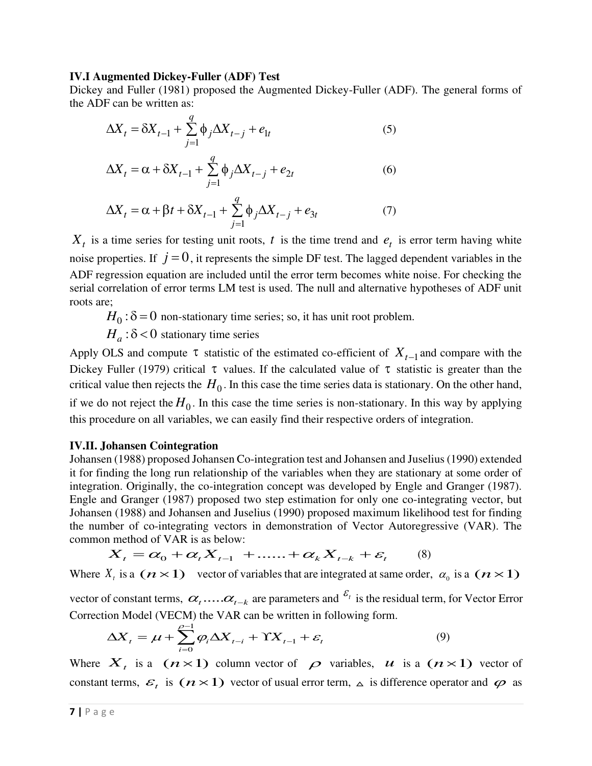#### **IV.I Augmented Dickey-Fuller (ADF) Test**

Dickey and Fuller (1981) proposed the Augmented Dickey-Fuller (ADF). The general forms of the ADF can be written as:

$$
\Delta X_t = \delta X_{t-1} + \sum_{j=1}^{q} \phi_j \Delta X_{t-j} + e_{1t}
$$
\n<sup>(5)</sup>

$$
\Delta X_t = \alpha + \delta X_{t-1} + \sum_{j=1}^q \phi_j \Delta X_{t-j} + e_{2t}
$$
 (6)

$$
\Delta X_t = \alpha + \beta t + \delta X_{t-1} + \sum_{j=1}^q \phi_j \Delta X_{t-j} + e_{3t} \tag{7}
$$

 $X_t$  is a time series for testing unit roots, *t* is the time trend and  $e_t$  is error term having white noise properties. If  $j = 0$ , it represents the simple DF test. The lagged dependent variables in the ADF regression equation are included until the error term becomes white noise. For checking the serial correlation of error terms LM test is used. The null and alternative hypotheses of ADF unit roots are;

 $H_0$ :  $\delta$  = 0 non-stationary time series; so, it has unit root problem.

 $H_a$ :  $\delta$  < 0 stationary time series

Apply OLS and compute  $\tau$  statistic of the estimated co-efficient of  $X_{t-1}$  and compare with the Dickey Fuller (1979) critical  $\tau$  values. If the calculated value of  $\tau$  statistic is greater than the critical value then rejects the  $H_0$ . In this case the time series data is stationary. On the other hand, if we do not reject the  $H_0$ . In this case the time series is non-stationary. In this way by applying this procedure on all variables, we can easily find their respective orders of integration.

### **IV.II. Johansen Cointegration**

Johansen (1988) proposed Johansen Co-integration test and Johansen and Juselius (1990) extended it for finding the long run relationship of the variables when they are stationary at some order of integration. Originally, the co-integration concept was developed by Engle and Granger (1987). Engle and Granger (1987) proposed two step estimation for only one co-integrating vector, but Johansen (1988) and Johansen and Juselius (1990) proposed maximum likelihood test for finding the number of co-integrating vectors in demonstration of Vector Autoregressive (VAR). The common method of VAR is as below:

$$
\boldsymbol{X}_{\boldsymbol{t}} = \boldsymbol{\alpha}_0 + \boldsymbol{\alpha}_{\boldsymbol{t}} \boldsymbol{X}_{\boldsymbol{t-1}} + \ldots + \boldsymbol{\alpha}_{\boldsymbol{k}} \boldsymbol{X}_{\boldsymbol{t-k}} + \boldsymbol{\varepsilon}_{\boldsymbol{t}} \qquad (8)
$$

Where  $X_t$  is a  $(n \times 1)$  vector of variables that are integrated at same order,  $\alpha_0$  is a  $(n \times 1)$ 

vector of constant terms,  $\alpha_{t}$ ..... $\alpha_{t-k}$  are parameters and  $\epsilon_{t}$  is the residual term, for Vector Error Correction Model (VECM) the VAR can be written in following form.

$$
\Delta X_t = \mu + \sum_{i=0}^{\rho-1} \varphi_i \Delta X_{t-i} + \Upsilon X_{t-1} + \varepsilon_t \tag{9}
$$

Where  $X_t$  is a  $(n \times 1)$  column vector of  $\rho$  variables, *u* is a  $(n \times 1)$  vector of constant terms,  $\mathcal{E}_t$  is  $(n \times 1)$  vector of usual error term,  $\Delta$  is difference operator and  $\varphi$  as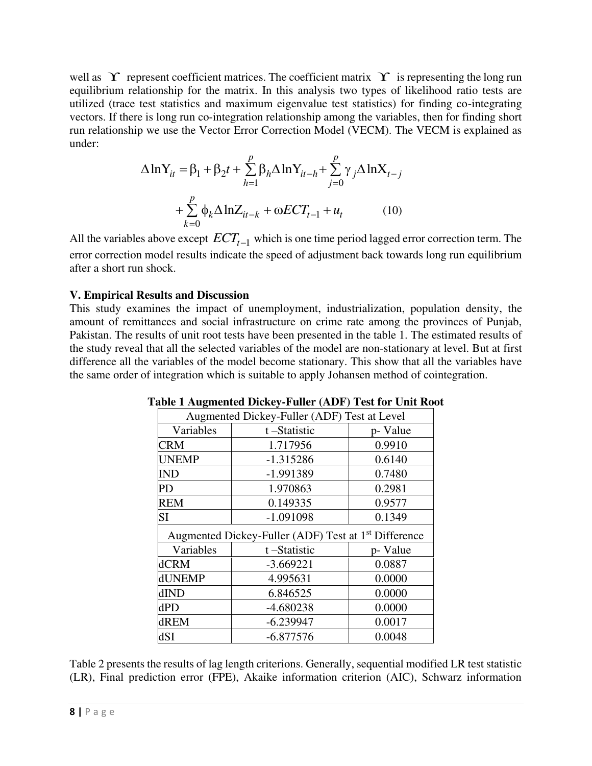well as  $\Upsilon$  represent coefficient matrices. The coefficient matrix  $\Upsilon$  is representing the long run equilibrium relationship for the matrix. In this analysis two types of likelihood ratio tests are utilized (trace test statistics and maximum eigenvalue test statistics) for finding co-integrating vectors. If there is long run co-integration relationship among the variables, then for finding short run relationship we use the Vector Error Correction Model (VECM). The VECM is explained as under:

$$
\Delta \ln Y_{it} = \beta_1 + \beta_2 t + \sum_{h=1}^p \beta_h \Delta \ln Y_{it-h} + \sum_{j=0}^p \gamma_j \Delta \ln X_{t-j}
$$

$$
+ \sum_{k=0}^p \phi_k \Delta \ln Z_{it-k} + \omega ECT_{t-1} + u_t \qquad (10)
$$

All the variables above except *ECTt*−<sup>1</sup> which is one time period lagged error correction term. The error correction model results indicate the speed of adjustment back towards long run equilibrium after a short run shock.

## **V. Empirical Results and Discussion**

This study examines the impact of unemployment, industrialization, population density, the amount of remittances and social infrastructure on crime rate among the provinces of Punjab, Pakistan. The results of unit root tests have been presented in the table 1. The estimated results of the study reveal that all the selected variables of the model are non-stationary at level. But at first difference all the variables of the model become stationary. This show that all the variables have the same order of integration which is suitable to apply Johansen method of cointegration.

| Augmented Dickey-Fuller (ADF) Test at Level |                                                                  |          |  |
|---------------------------------------------|------------------------------------------------------------------|----------|--|
| Variables                                   | t-Statistic                                                      | p- Value |  |
| <b>CRM</b>                                  | 1.717956                                                         | 0.9910   |  |
| <b>UNEMP</b>                                | $-1.315286$                                                      | 0.6140   |  |
| <b>IND</b>                                  | -1.991389                                                        | 0.7480   |  |
| PD                                          | 1.970863                                                         | 0.2981   |  |
| <b>REM</b>                                  | 0.149335                                                         | 0.9577   |  |
| SI                                          | $-1.091098$                                                      | 0.1349   |  |
|                                             | Augmented Dickey-Fuller (ADF) Test at 1 <sup>st</sup> Difference |          |  |
| Variables                                   | t-Statistic<br>p- Value                                          |          |  |
| <b>dCRM</b>                                 | $-3.669221$                                                      | 0.0887   |  |
| dUNEMP                                      | 4.995631                                                         | 0.0000   |  |
| dIND                                        | 6.846525                                                         | 0.0000   |  |
| dPD                                         | $-4.680238$                                                      | 0.0000   |  |
| dREM                                        | $-6.239947$                                                      | 0.0017   |  |
| dSI                                         | $-6.877576$                                                      | 0.0048   |  |

**Table 1 Augmented Dickey-Fuller (ADF) Test for Unit Root** 

Table 2 presents the results of lag length criterions. Generally, sequential modified LR test statistic (LR), Final prediction error (FPE), Akaike information criterion (AIC), Schwarz information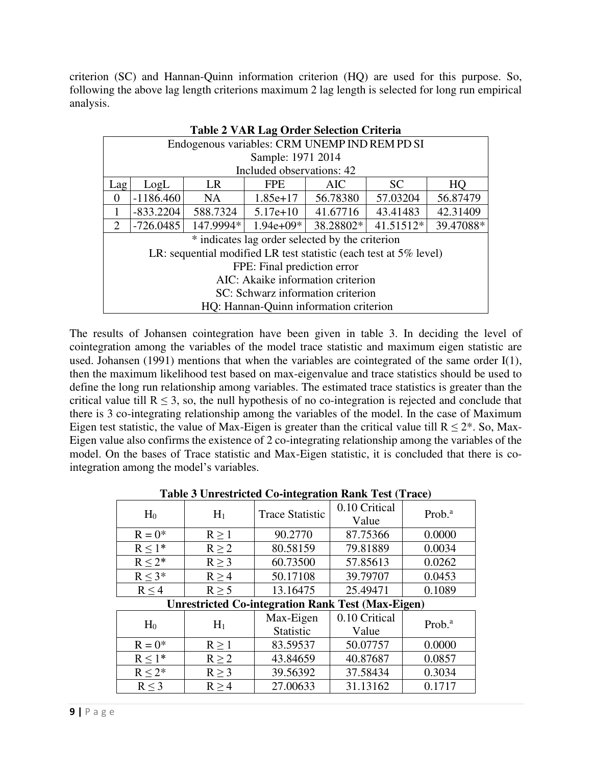criterion (SC) and Hannan-Quinn information criterion (HQ) are used for this purpose. So, following the above lag length criterions maximum 2 lag length is selected for long run empirical analysis.

| Table 2 VAR Lag Order Selection Criteria                             |                                                                                |    |                           |          |           |          |
|----------------------------------------------------------------------|--------------------------------------------------------------------------------|----|---------------------------|----------|-----------|----------|
|                                                                      | Endogenous variables: CRM UNEMP IND REM PD SI                                  |    |                           |          |           |          |
|                                                                      |                                                                                |    | Sample: 1971 2014         |          |           |          |
|                                                                      |                                                                                |    | Included observations: 42 |          |           |          |
| Lag                                                                  | LogL                                                                           | LR | <b>FPE</b>                | AIC      | <b>SC</b> | HO       |
| $\Omega$                                                             | $-1186.460$                                                                    | NA | $1.85e+17$                | 56.78380 | 57.03204  | 56.87479 |
|                                                                      | $-833.2204$<br>588.7324<br>41.67716<br>43.41483<br>42.31409<br>$5.17e+10$      |    |                           |          |           |          |
| 2                                                                    | 41.51512*<br>$-726.0485$<br>147.9994*<br>38.28802*<br>39.47088*<br>$1.94e+09*$ |    |                           |          |           |          |
|                                                                      | * indicates lag order selected by the criterion                                |    |                           |          |           |          |
| LR: sequential modified LR test statistic (each test at $5\%$ level) |                                                                                |    |                           |          |           |          |
| FPE: Final prediction error                                          |                                                                                |    |                           |          |           |          |
| AIC: Akaike information criterion                                    |                                                                                |    |                           |          |           |          |
| SC: Schwarz information criterion                                    |                                                                                |    |                           |          |           |          |
| HQ: Hannan-Quinn information criterion                               |                                                                                |    |                           |          |           |          |

|--|

The results of Johansen cointegration have been given in table 3. In deciding the level of cointegration among the variables of the model trace statistic and maximum eigen statistic are used. Johansen (1991) mentions that when the variables are cointegrated of the same order I(1), then the maximum likelihood test based on max-eigenvalue and trace statistics should be used to define the long run relationship among variables. The estimated trace statistics is greater than the critical value till  $R \le 3$ , so, the null hypothesis of no co-integration is rejected and conclude that there is 3 co-integrating relationship among the variables of the model. In the case of Maximum Eigen test statistic, the value of Max-Eigen is greater than the critical value till  $R \le 2^*$ . So, Max-Eigen value also confirms the existence of 2 co-integrating relationship among the variables of the model. On the bases of Trace statistic and Max-Eigen statistic, it is concluded that there is cointegration among the model's variables.

| Table 5 University Co-mitegration Kank Test (Trace) |            |                                                          |                        |                    |
|-----------------------------------------------------|------------|----------------------------------------------------------|------------------------|--------------------|
| H <sub>0</sub>                                      | $H_1$      | <b>Trace Statistic</b>                                   | 0.10 Critical<br>Value | Prob. <sup>a</sup> |
| $R = 0^*$                                           | $R \geq 1$ | 90.2770                                                  | 87.75366               | 0.0000             |
| $R \leq 1^*$                                        | $R \geq 2$ | 80.58159                                                 | 79.81889               | 0.0034             |
| $R \leq 2^*$                                        | $R \geq 3$ | 60.73500                                                 | 57.85613               | 0.0262             |
| $R < 3*$                                            | $R \geq 4$ | 50.17108                                                 | 39.79707               | 0.0453             |
| $R \leq 4$                                          | $R \geq 5$ | 13.16475                                                 | 25.49471               | 0.1089             |
|                                                     |            | <b>Unrestricted Co-integration Rank Test (Max-Eigen)</b> |                        |                    |
| H <sub>0</sub>                                      | $H_1$      | Max-Eigen<br>Statistic                                   | 0.10 Critical<br>Value | Prob. <sup>a</sup> |
| $R = 0^*$                                           | $R \geq 1$ | 83.59537                                                 | 50.07757               | 0.0000             |
| $R < 1*$                                            | $R \geq 2$ | 43.84659                                                 | 40.87687               | 0.0857             |
| $R \leq 2^*$                                        | $R \geq 3$ | 39.56392                                                 | 37.58434               | 0.3034             |
| $R \leq 3$                                          | R > 4      | 27.00633                                                 | 31.13162               | 0.1717             |

**Table 3 Unrestricted Co-integration Rank Test (Trace)**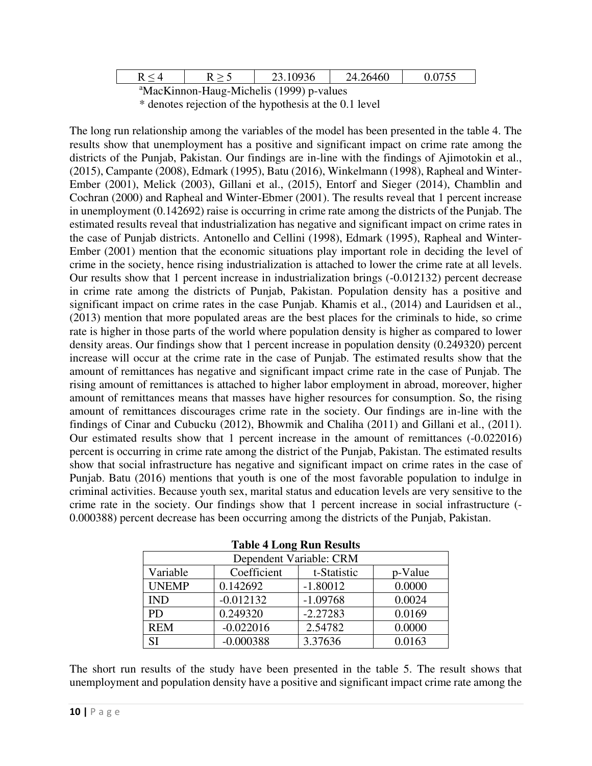| $R < \Delta$                                         |  | 23.10936 | 24.26460 | 0.0755 |
|------------------------------------------------------|--|----------|----------|--------|
| <sup>a</sup> MacKinnon-Haug-Michelis (1999) p-values |  |          |          |        |

\* denotes rejection of the hypothesis at the 0.1 level

The long run relationship among the variables of the model has been presented in the table 4. The results show that unemployment has a positive and significant impact on crime rate among the districts of the Punjab, Pakistan. Our findings are in-line with the findings of Ajimotokin et al., (2015), Campante (2008), Edmark (1995), Batu (2016), Winkelmann (1998), Rapheal and Winter-Ember (2001), Melick (2003), Gillani et al., (2015), Entorf and Sieger (2014), Chamblin and Cochran (2000) and Rapheal and Winter-Ebmer (2001). The results reveal that 1 percent increase in unemployment (0.142692) raise is occurring in crime rate among the districts of the Punjab. The estimated results reveal that industrialization has negative and significant impact on crime rates in the case of Punjab districts. Antonello and Cellini (1998), Edmark (1995), Rapheal and Winter-Ember (2001) mention that the economic situations play important role in deciding the level of crime in the society, hence rising industrialization is attached to lower the crime rate at all levels. Our results show that 1 percent increase in industrialization brings (-0.012132) percent decrease in crime rate among the districts of Punjab, Pakistan. Population density has a positive and significant impact on crime rates in the case Punjab. Khamis et al., (2014) and Lauridsen et al., (2013) mention that more populated areas are the best places for the criminals to hide, so crime rate is higher in those parts of the world where population density is higher as compared to lower density areas. Our findings show that 1 percent increase in population density (0.249320) percent increase will occur at the crime rate in the case of Punjab. The estimated results show that the amount of remittances has negative and significant impact crime rate in the case of Punjab. The rising amount of remittances is attached to higher labor employment in abroad, moreover, higher amount of remittances means that masses have higher resources for consumption. So, the rising amount of remittances discourages crime rate in the society. Our findings are in-line with the findings of Cinar and Cubucku (2012), Bhowmik and Chaliha (2011) and Gillani et al., (2011). Our estimated results show that 1 percent increase in the amount of remittances (-0.022016) percent is occurring in crime rate among the district of the Punjab, Pakistan. The estimated results show that social infrastructure has negative and significant impact on crime rates in the case of Punjab. Batu (2016) mentions that youth is one of the most favorable population to indulge in criminal activities. Because youth sex, marital status and education levels are very sensitive to the crime rate in the society. Our findings show that 1 percent increase in social infrastructure (- 0.000388) percent decrease has been occurring among the districts of the Punjab, Pakistan.

| Dependent Variable: CRM |             |             |         |  |
|-------------------------|-------------|-------------|---------|--|
| Variable                | Coefficient | t-Statistic | p-Value |  |
| <b>UNEMP</b>            | 0.142692    | $-1.80012$  | 0.0000  |  |
| <b>IND</b>              | $-0.012132$ | $-1.09768$  | 0.0024  |  |
| <b>PD</b>               | 0.249320    | $-2.27283$  | 0.0169  |  |
| <b>REM</b>              | $-0.022016$ | 2.54782     | 0.0000  |  |
| SI                      | $-0.000388$ | 3.37636     | 0.0163  |  |

| <b>Table 4 Long Run Results</b> |  |
|---------------------------------|--|
|---------------------------------|--|

The short run results of the study have been presented in the table 5. The result shows that unemployment and population density have a positive and significant impact crime rate among the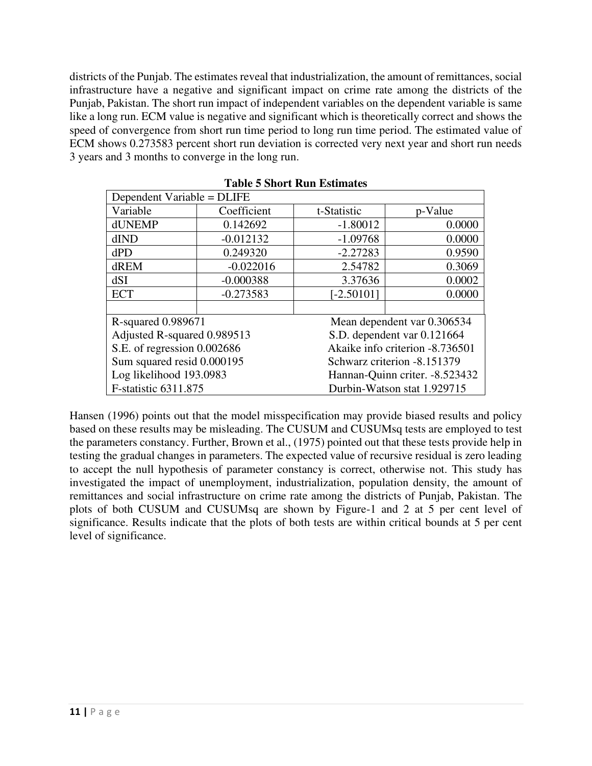districts of the Punjab. The estimates reveal that industrialization, the amount of remittances, social infrastructure have a negative and significant impact on crime rate among the districts of the Punjab, Pakistan. The short run impact of independent variables on the dependent variable is same like a long run. ECM value is negative and significant which is theoretically correct and shows the speed of convergence from short run time period to long run time period. The estimated value of ECM shows 0.273583 percent short run deviation is corrected very next year and short run needs 3 years and 3 months to converge in the long run.

| Dependent Variable = DLIFE  |             |                                 |                                |  |  |
|-----------------------------|-------------|---------------------------------|--------------------------------|--|--|
| Variable                    | Coefficient | t-Statistic                     | p-Value                        |  |  |
| dUNEMP                      | 0.142692    | $-1.80012$                      | 0.0000                         |  |  |
| dIND                        | $-0.012132$ | $-1.09768$                      | 0.0000                         |  |  |
| dPD                         | 0.249320    | $-2.27283$                      | 0.9590                         |  |  |
| dREM                        | $-0.022016$ | 2.54782                         | 0.3069                         |  |  |
| dSI                         | $-0.000388$ | 3.37636                         | 0.0002                         |  |  |
| <b>ECT</b>                  | $-0.273583$ | $[-2.50101]$                    | 0.0000                         |  |  |
|                             |             |                                 |                                |  |  |
| R-squared 0.989671          |             |                                 | Mean dependent var 0.306534    |  |  |
| Adjusted R-squared 0.989513 |             |                                 | S.D. dependent var 0.121664    |  |  |
| S.E. of regression 0.002686 |             | Akaike info criterion -8.736501 |                                |  |  |
| Sum squared resid 0.000195  |             | Schwarz criterion -8.151379     |                                |  |  |
| Log likelihood 193.0983     |             |                                 | Hannan-Quinn criter. -8.523432 |  |  |
| F-statistic 6311.875        |             |                                 | Durbin-Watson stat 1.929715    |  |  |

**Table 5 Short Run Estimates** 

Hansen (1996) points out that the model misspecification may provide biased results and policy based on these results may be misleading. The CUSUM and CUSUMsq tests are employed to test the parameters constancy. Further, Brown et al., (1975) pointed out that these tests provide help in testing the gradual changes in parameters. The expected value of recursive residual is zero leading to accept the null hypothesis of parameter constancy is correct, otherwise not. This study has investigated the impact of unemployment, industrialization, population density, the amount of remittances and social infrastructure on crime rate among the districts of Punjab, Pakistan. The plots of both CUSUM and CUSUMsq are shown by Figure-1 and 2 at 5 per cent level of significance. Results indicate that the plots of both tests are within critical bounds at 5 per cent level of significance.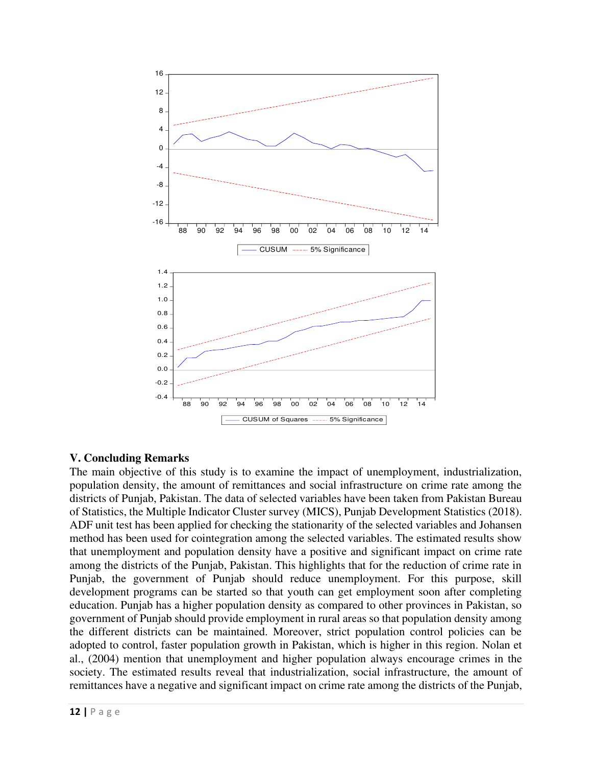

# **V. Concluding Remarks**

The main objective of this study is to examine the impact of unemployment, industrialization, population density, the amount of remittances and social infrastructure on crime rate among the districts of Punjab, Pakistan. The data of selected variables have been taken from Pakistan Bureau of Statistics, the Multiple Indicator Cluster survey (MICS), Punjab Development Statistics (2018). ADF unit test has been applied for checking the stationarity of the selected variables and Johansen method has been used for cointegration among the selected variables. The estimated results show that unemployment and population density have a positive and significant impact on crime rate among the districts of the Punjab, Pakistan. This highlights that for the reduction of crime rate in Punjab, the government of Punjab should reduce unemployment. For this purpose, skill development programs can be started so that youth can get employment soon after completing education. Punjab has a higher population density as compared to other provinces in Pakistan, so government of Punjab should provide employment in rural areas so that population density among the different districts can be maintained. Moreover, strict population control policies can be adopted to control, faster population growth in Pakistan, which is higher in this region. Nolan et al., (2004) mention that unemployment and higher population always encourage crimes in the society. The estimated results reveal that industrialization, social infrastructure, the amount of remittances have a negative and significant impact on crime rate among the districts of the Punjab,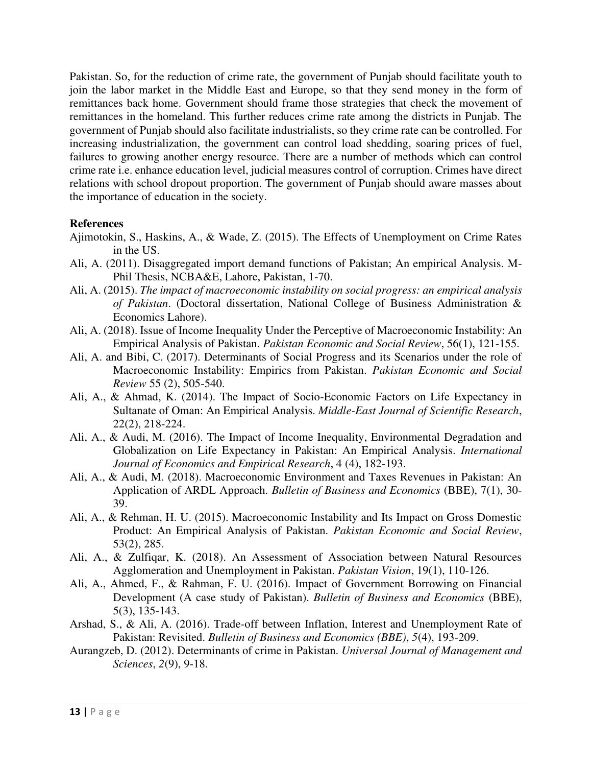Pakistan. So, for the reduction of crime rate, the government of Punjab should facilitate youth to join the labor market in the Middle East and Europe, so that they send money in the form of remittances back home. Government should frame those strategies that check the movement of remittances in the homeland. This further reduces crime rate among the districts in Punjab. The government of Punjab should also facilitate industrialists, so they crime rate can be controlled. For increasing industrialization, the government can control load shedding, soaring prices of fuel, failures to growing another energy resource. There are a number of methods which can control crime rate i.e. enhance education level, judicial measures control of corruption. Crimes have direct relations with school dropout proportion. The government of Punjab should aware masses about the importance of education in the society.

#### **References**

- Ajimotokin, S., Haskins, A., & Wade, Z. (2015). The Effects of Unemployment on Crime Rates in the US.
- Ali, A. (2011). Disaggregated import demand functions of Pakistan; An empirical Analysis. M-Phil Thesis, NCBA&E, Lahore, Pakistan, 1-70.
- Ali, A. (2015). *The impact of macroeconomic instability on social progress: an empirical analysis of Pakistan*. (Doctoral dissertation, National College of Business Administration & Economics Lahore).
- Ali, A. (2018). Issue of Income Inequality Under the Perceptive of Macroeconomic Instability: An Empirical Analysis of Pakistan. *Pakistan Economic and Social Review*, 56(1), 121-155.
- Ali, A. and Bibi, C. (2017). Determinants of Social Progress and its Scenarios under the role of Macroeconomic Instability: Empirics from Pakistan. *Pakistan Economic and Social Review* 55 (2), 505-540.
- Ali, A., & Ahmad, K. (2014). The Impact of Socio-Economic Factors on Life Expectancy in Sultanate of Oman: An Empirical Analysis. *Middle-East Journal of Scientific Research*, 22(2), 218-224.
- Ali, A., & Audi, M. (2016). The Impact of Income Inequality, Environmental Degradation and Globalization on Life Expectancy in Pakistan: An Empirical Analysis. *International Journal of Economics and Empirical Research*, 4 (4), 182-193.
- Ali, A., & Audi, M. (2018). Macroeconomic Environment and Taxes Revenues in Pakistan: An Application of ARDL Approach. *Bulletin of Business and Economics* (BBE), 7(1), 30- 39.
- Ali, A., & Rehman, H. U. (2015). Macroeconomic Instability and Its Impact on Gross Domestic Product: An Empirical Analysis of Pakistan. *Pakistan Economic and Social Review*, 53(2), 285.
- Ali, A., & Zulfiqar, K. (2018). An Assessment of Association between Natural Resources Agglomeration and Unemployment in Pakistan. *Pakistan Vision*, 19(1), 110-126.
- Ali, A., Ahmed, F., & Rahman, F. U. (2016). Impact of Government Borrowing on Financial Development (A case study of Pakistan). *Bulletin of Business and Economics* (BBE), 5(3), 135-143.
- Arshad, S., & Ali, A. (2016). Trade-off between Inflation, Interest and Unemployment Rate of Pakistan: Revisited. *Bulletin of Business and Economics (BBE)*, *5*(4), 193-209.
- Aurangzeb, D. (2012). Determinants of crime in Pakistan. *Universal Journal of Management and Sciences*, *2*(9), 9-18.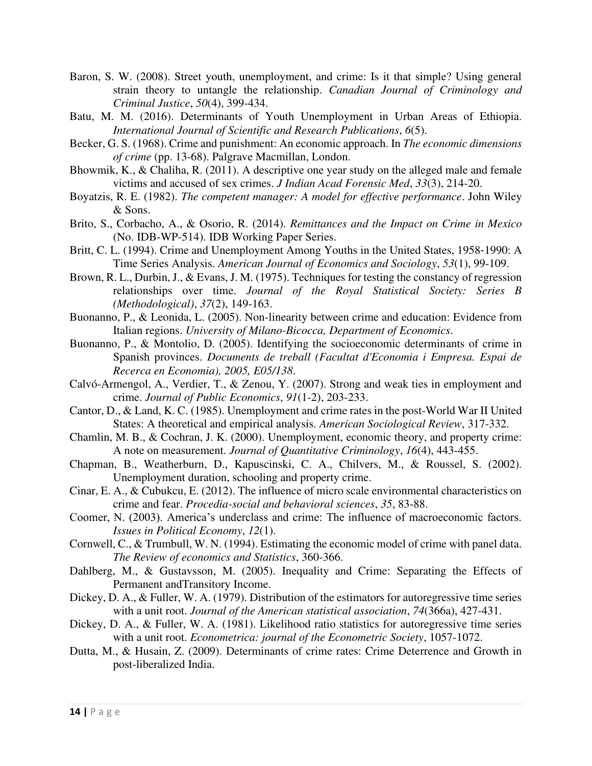- Baron, S. W. (2008). Street youth, unemployment, and crime: Is it that simple? Using general strain theory to untangle the relationship. *Canadian Journal of Criminology and Criminal Justice*, *50*(4), 399-434.
- Batu, M. M. (2016). Determinants of Youth Unemployment in Urban Areas of Ethiopia. *International Journal of Scientific and Research Publications*, *6*(5).
- Becker, G. S. (1968). Crime and punishment: An economic approach. In *The economic dimensions of crime* (pp. 13-68). Palgrave Macmillan, London.
- Bhowmik, K., & Chaliha, R. (2011). A descriptive one year study on the alleged male and female victims and accused of sex crimes. *J Indian Acad Forensic Med*, *33*(3), 214-20.
- Boyatzis, R. E. (1982). *The competent manager: A model for effective performance*. John Wiley & Sons.
- Brito, S., Corbacho, A., & Osorio, R. (2014). *Remittances and the Impact on Crime in Mexico* (No. IDB-WP-514). IDB Working Paper Series.
- Britt, C. L. (1994). Crime and Unemployment Among Youths in the United States, 1958‐1990: A Time Series Analysis. *American Journal of Economics and Sociology*, *53*(1), 99-109.
- Brown, R. L., Durbin, J., & Evans, J. M. (1975). Techniques for testing the constancy of regression relationships over time. *Journal of the Royal Statistical Society: Series B (Methodological)*, *37*(2), 149-163.
- Buonanno, P., & Leonida, L. (2005). Non-linearity between crime and education: Evidence from Italian regions. *University of Milano-Bicocca, Department of Economics*.
- Buonanno, P., & Montolio, D. (2005). Identifying the socioeconomic determinants of crime in Spanish provinces. *Documents de treball (Facultat d'Economia i Empresa. Espai de Recerca en Economia), 2005, E05/138*.
- Calvó-Armengol, A., Verdier, T., & Zenou, Y. (2007). Strong and weak ties in employment and crime. *Journal of Public Economics*, *91*(1-2), 203-233.
- Cantor, D., & Land, K. C. (1985). Unemployment and crime rates in the post-World War II United States: A theoretical and empirical analysis. *American Sociological Review*, 317-332.
- Chamlin, M. B., & Cochran, J. K. (2000). Unemployment, economic theory, and property crime: A note on measurement. *Journal of Quantitative Criminology*, *16*(4), 443-455.
- Chapman, B., Weatherburn, D., Kapuscinski, C. A., Chilvers, M., & Roussel, S. (2002). Unemployment duration, schooling and property crime.
- Cinar, E. A., & Cubukcu, E. (2012). The influence of micro scale environmental characteristics on crime and fear. *Procedia-social and behavioral sciences*, *35*, 83-88.
- Coomer, N. (2003). America's underclass and crime: The influence of macroeconomic factors. *Issues in Political Economy*, *12*(1).
- Cornwell, C., & Trumbull, W. N. (1994). Estimating the economic model of crime with panel data. *The Review of economics and Statistics*, 360-366.
- Dahlberg, M., & Gustavsson, M. (2005). Inequality and Crime: Separating the Effects of Permanent andTransitory Income.
- Dickey, D. A., & Fuller, W. A. (1979). Distribution of the estimators for autoregressive time series with a unit root. *Journal of the American statistical association*, *74*(366a), 427-431.
- Dickey, D. A., & Fuller, W. A. (1981). Likelihood ratio statistics for autoregressive time series with a unit root. *Econometrica: journal of the Econometric Society*, 1057-1072.
- Dutta, M., & Husain, Z. (2009). Determinants of crime rates: Crime Deterrence and Growth in post-liberalized India.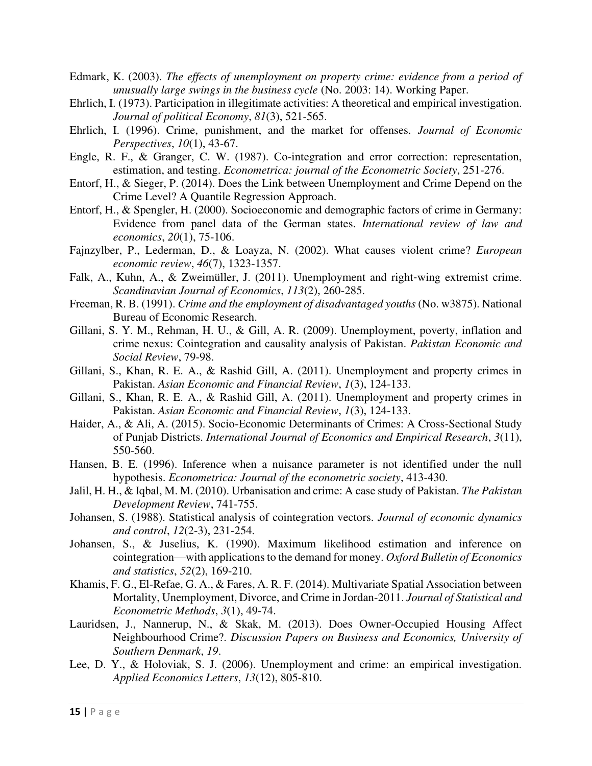- Edmark, K. (2003). *The effects of unemployment on property crime: evidence from a period of unusually large swings in the business cycle* (No. 2003: 14). Working Paper.
- Ehrlich, I. (1973). Participation in illegitimate activities: A theoretical and empirical investigation. *Journal of political Economy*, *81*(3), 521-565.
- Ehrlich, I. (1996). Crime, punishment, and the market for offenses. *Journal of Economic Perspectives*, *10*(1), 43-67.
- Engle, R. F., & Granger, C. W. (1987). Co-integration and error correction: representation, estimation, and testing. *Econometrica: journal of the Econometric Society*, 251-276.
- Entorf, H., & Sieger, P. (2014). Does the Link between Unemployment and Crime Depend on the Crime Level? A Quantile Regression Approach.
- Entorf, H., & Spengler, H. (2000). Socioeconomic and demographic factors of crime in Germany: Evidence from panel data of the German states. *International review of law and economics*, *20*(1), 75-106.
- Fajnzylber, P., Lederman, D., & Loayza, N. (2002). What causes violent crime? *European economic review*, *46*(7), 1323-1357.
- Falk, A., Kuhn, A., & Zweimüller, J. (2011). Unemployment and right‐wing extremist crime. *Scandinavian Journal of Economics*, *113*(2), 260-285.
- Freeman, R. B. (1991). *Crime and the employment of disadvantaged youths* (No. w3875). National Bureau of Economic Research.
- Gillani, S. Y. M., Rehman, H. U., & Gill, A. R. (2009). Unemployment, poverty, inflation and crime nexus: Cointegration and causality analysis of Pakistan. *Pakistan Economic and Social Review*, 79-98.
- Gillani, S., Khan, R. E. A., & Rashid Gill, A. (2011). Unemployment and property crimes in Pakistan. *Asian Economic and Financial Review*, *1*(3), 124-133.
- Gillani, S., Khan, R. E. A., & Rashid Gill, A. (2011). Unemployment and property crimes in Pakistan. *Asian Economic and Financial Review*, *1*(3), 124-133.
- Haider, A., & Ali, A. (2015). Socio-Economic Determinants of Crimes: A Cross-Sectional Study of Punjab Districts. *International Journal of Economics and Empirical Research*, *3*(11), 550-560.
- Hansen, B. E. (1996). Inference when a nuisance parameter is not identified under the null hypothesis. *Econometrica: Journal of the econometric society*, 413-430.
- Jalil, H. H., & Iqbal, M. M. (2010). Urbanisation and crime: A case study of Pakistan. *The Pakistan Development Review*, 741-755.
- Johansen, S. (1988). Statistical analysis of cointegration vectors. *Journal of economic dynamics and control*, *12*(2-3), 231-254.
- Johansen, S., & Juselius, K. (1990). Maximum likelihood estimation and inference on cointegration—with applications to the demand for money. *Oxford Bulletin of Economics and statistics*, *52*(2), 169-210.
- Khamis, F. G., El-Refae, G. A., & Fares, A. R. F. (2014). Multivariate Spatial Association between Mortality, Unemployment, Divorce, and Crime in Jordan-2011. *Journal of Statistical and Econometric Methods*, *3*(1), 49-74.
- Lauridsen, J., Nannerup, N., & Skak, M. (2013). Does Owner-Occupied Housing Affect Neighbourhood Crime?. *Discussion Papers on Business and Economics, University of Southern Denmark*, *19*.
- Lee, D. Y., & Holoviak, S. J. (2006). Unemployment and crime: an empirical investigation. *Applied Economics Letters*, *13*(12), 805-810.